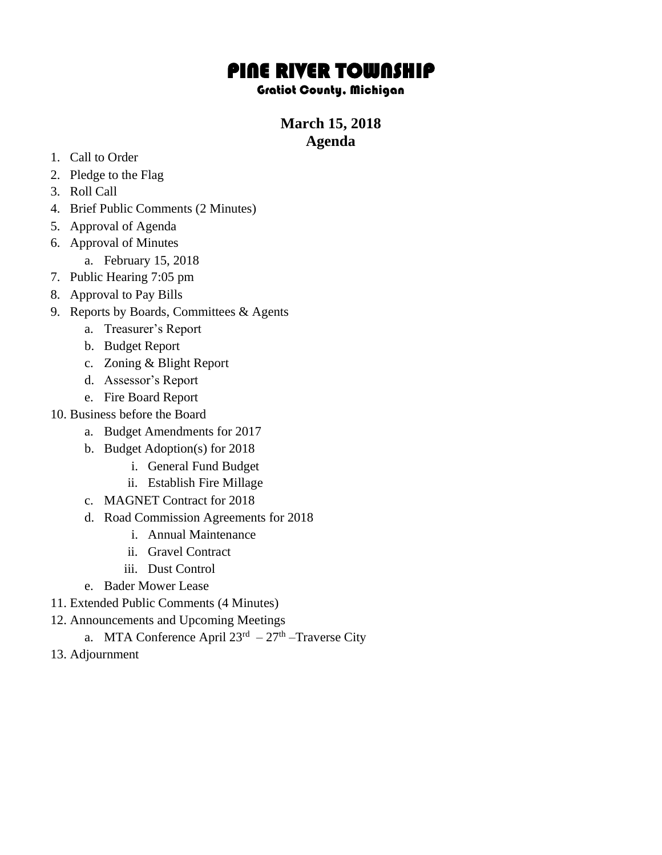# PINE RIVER TOWNSHIP

### Gratiot County, Michigan

## **March 15, 2018 Agenda**

- 1. Call to Order
- 2. Pledge to the Flag
- 3. Roll Call
- 4. Brief Public Comments (2 Minutes)
- 5. Approval of Agenda
- 6. Approval of Minutes
	- a. February 15, 2018
- 7. Public Hearing 7:05 pm
- 8. Approval to Pay Bills
- 9. Reports by Boards, Committees & Agents
	- a. Treasurer's Report
	- b. Budget Report
	- c. Zoning & Blight Report
	- d. Assessor's Report
	- e. Fire Board Report
- 10. Business before the Board
	- a. Budget Amendments for 2017
	- b. Budget Adoption(s) for 2018
		- i. General Fund Budget
		- ii. Establish Fire Millage
	- c. MAGNET Contract for 2018
	- d. Road Commission Agreements for 2018
		- i. Annual Maintenance
		- ii. Gravel Contract
		- iii. Dust Control
	- e. Bader Mower Lease
- 11. Extended Public Comments (4 Minutes)
- 12. Announcements and Upcoming Meetings
	- a. MTA Conference April  $23<sup>rd</sup> 27<sup>th</sup>$ -Traverse City
- 13. Adjournment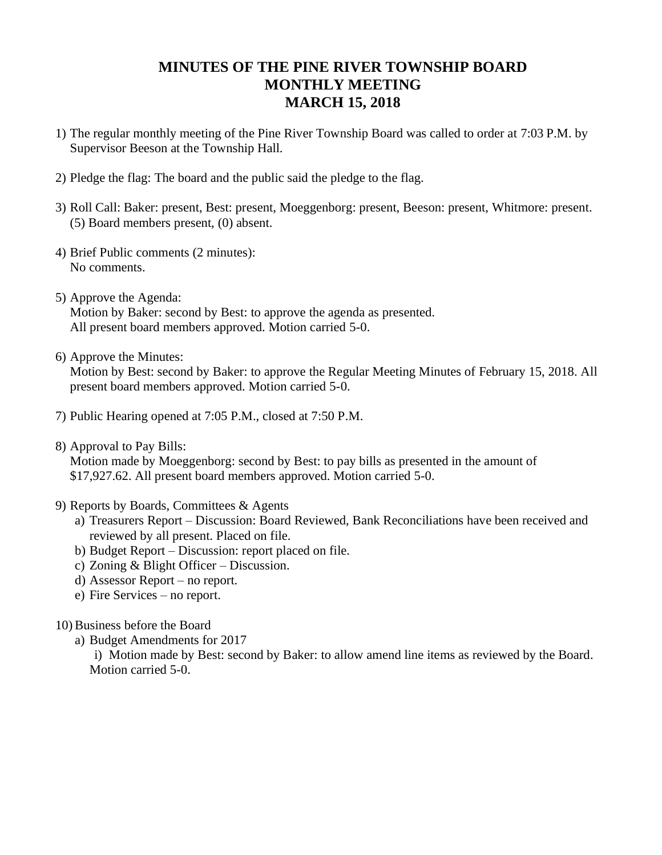## **MINUTES OF THE PINE RIVER TOWNSHIP BOARD MONTHLY MEETING MARCH 15, 2018**

- 1) The regular monthly meeting of the Pine River Township Board was called to order at 7:03 P.M. by Supervisor Beeson at the Township Hall.
- 2) Pledge the flag: The board and the public said the pledge to the flag.
- 3) Roll Call: Baker: present, Best: present, Moeggenborg: present, Beeson: present, Whitmore: present. (5) Board members present, (0) absent.
- 4) Brief Public comments (2 minutes): No comments.
- 5) Approve the Agenda: Motion by Baker: second by Best: to approve the agenda as presented. All present board members approved. Motion carried 5-0.
- 6) Approve the Minutes:

Motion by Best: second by Baker: to approve the Regular Meeting Minutes of February 15, 2018. All present board members approved. Motion carried 5-0.

- 7) Public Hearing opened at 7:05 P.M., closed at 7:50 P.M.
- 8) Approval to Pay Bills:

Motion made by Moeggenborg: second by Best: to pay bills as presented in the amount of \$17,927.62. All present board members approved. Motion carried 5-0.

- 9) Reports by Boards, Committees & Agents
	- a) Treasurers Report Discussion: Board Reviewed, Bank Reconciliations have been received and reviewed by all present. Placed on file.
	- b) Budget Report Discussion: report placed on file.
	- c) Zoning & Blight Officer Discussion.
	- d) Assessor Report no report.
	- e) Fire Services no report.
- 10) Business before the Board
	- a) Budget Amendments for 2017

i) Motion made by Best: second by Baker: to allow amend line items as reviewed by the Board. Motion carried 5-0.